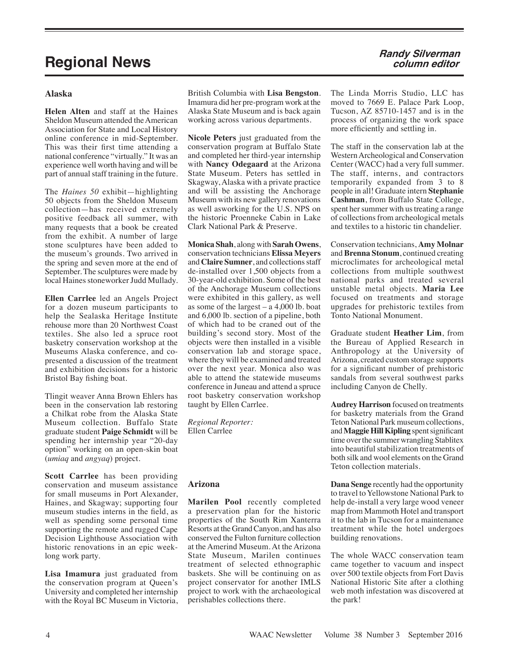# **Regional News Randy Silverman**

## **Alaska**

**Helen Alten** and staff at the Haines Sheldon Museum attended the American Association for State and Local History online conference in mid-September. This was their first time attending a national conference "virtually." It was an experience well worth having and will be part of annual staff training in the future.

The *Haines 50* exhibit—highlighting 50 objects from the Sheldon Museum collection—has received extremely positive feedback all summer, with many requests that a book be created from the exhibit. A number of large stone sculptures have been added to the museum's grounds. Two arrived in the spring and seven more at the end of September. The sculptures were made by local Haines stoneworker Judd Mullady.

**Ellen Carrlee** led an Angels Project for a dozen museum participants to help the Sealaska Heritage Institute rehouse more than 20 Northwest Coast textiles. She also led a spruce root basketry conservation workshop at the Museums Alaska conference, and copresented a discussion of the treatment and exhibition decisions for a historic Bristol Bay fishing boat.

Tlingit weaver Anna Brown Ehlers has been in the conservation lab restoring a Chilkat robe from the Alaska State Museum collection. Buffalo State graduate student **Paige Schmidt** will be spending her internship year "20-day option" working on an open-skin boat (*umiaq* and *angyaq*) project.

**Scott Carrlee** has been providing conservation and museum assistance for small museums in Port Alexander, Haines, and Skagway; supporting four museum studies interns in the field, as well as spending some personal time supporting the remote and rugged Cape Decision Lighthouse Association with historic renovations in an epic weeklong work party.

**Lisa Imamura** just graduated from the conservation program at Queen's University and completed her internship with the Royal BC Museum in Victoria, British Columbia with **Lisa Bengston**. Imamura did her pre-program work at the Alaska State Museum and is back again working across various departments.

**Nicole Peters** just graduated from the conservation program at Buffalo State and completed her third-year internship with **Nancy Odegaard** at the Arizona State Museum. Peters has settled in Skagway, Alaska with a private practice and will be assisting the Anchorage Museum with its new gallery renovations as well asworking for the U.S. NPS on the historic Proenneke Cabin in Lake Clark National Park & Preserve.

**Monica Shah**, along with **Sarah Owens**, conservation technicians **Elissa Meyers** and **Claire Sumner**, and collections staff de-installed over 1,500 objects from a 30-year-old exhibition. Some of the best of the Anchorage Museum collections were exhibited in this gallery, as well as some of the largest – a 4,000 lb. boat and 6,000 lb. section of a pipeline, both of which had to be craned out of the building's second story. Most of the objects were then installed in a visible conservation lab and storage space, where they will be examined and treated over the next year. Monica also was able to attend the statewide museums conference in Juneau and attend a spruce root basketry conservation workshop taught by Ellen Carrlee.

*Regional Reporter:* Ellen Carrlee

## **Arizona**

**Marilen Pool** recently completed a preservation plan for the historic properties of the South Rim Xanterra Resorts at the Grand Canyon, and has also conserved the Fulton furniture collection at the Amerind Museum. At the Arizona State Museum, Marilen continues treatment of selected ethnographic baskets. She will be continuing on as project conservator for another IMLS project to work with the archaeological perishables collections there.

## **column editor**

The Linda Morris Studio, LLC has moved to 7669 E. Palace Park Loop, Tucson, AZ 85710-1457 and is in the process of organizing the work space more efficiently and settling in.

The staff in the conservation lab at the Western Archeological and Conservation Center (WACC) had a very full summer. The staff, interns, and contractors temporarily expanded from 3 to 8 people in all! Graduate intern **Stephanie Cashman**, from Buffalo State College, spent her summer with us treating a range of collections from archeological metals and textiles to a historic tin chandelier.

Conservation technicians, **Amy Molnar** and **Brenna Stonum**, continued creating microclimates for archeological metal collections from multiple southwest national parks and treated several unstable metal objects. **Maria Lee** focused on treatments and storage upgrades for prehistoric textiles from Tonto National Monument.

Graduate student **Heather Lim**, from the Bureau of Applied Research in Anthropology at the University of Arizona, created custom storage supports for a significant number of prehistoric sandals from several southwest parks including Canyon de Chelly.

**Audrey Harrison** focused on treatments for basketry materials from the Grand Teton National Park museum collections, and **Maggie Hill Kipling** spent significant time over the summer wrangling Stablitex into beautiful stabilization treatments of both silk and wool elements on the Grand Teton collection materials.

**Dana Senge** recently had the opportunity to travel to Yellowstone National Park to help de-install a very large wood veneer map from Mammoth Hotel and transport it to the lab in Tucson for a maintenance treatment while the hotel undergoes building renovations.

The whole WACC conservation team came together to vacuum and inspect over 500 textile objects from Fort Davis National Historic Site after a clothing web moth infestation was discovered at the park!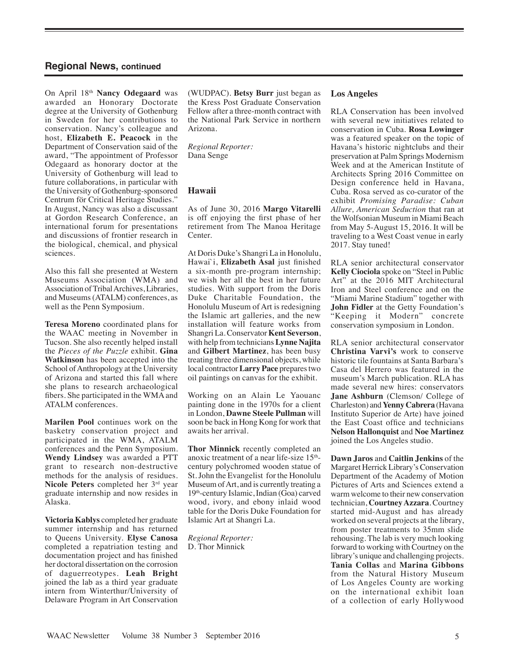On April 18th **Nancy Odegaard** was awarded an Honorary Doctorate degree at the University of Gothenburg in Sweden for her contributions to conservation. Nancy's colleague and host, **Elizabeth E. Peacock** in the Department of Conservation said of the award, "The appointment of Professor Odegaard as honorary doctor at the University of Gothenburg will lead to future collaborations, in particular with the University of Gothenburg-sponsored Centrum för Critical Heritage Studies." In August, Nancy was also a discussant at Gordon Research Conference, an international forum for presentations and discussions of frontier research in the biological, chemical, and physical sciences.

Also this fall she presented at Western Museums Association (WMA) and Association of Tribal Archives, Libraries, and Museums (ATALM) conferences, as well as the Penn Symposium.

**Teresa Moreno** coordinated plans for the WAAC meeting in November in Tucson. She also recently helped install the *Pieces of the Puzzle* exhibit. **Gina Watkinson** has been accepted into the School of Anthropology at the University of Arizona and started this fall where she plans to research archaeological fibers. She participated in the WMA and ATALM conferences.

**Marilen Pool** continues work on the basketry conservation project and participated in the WMA, ATALM conferences and the Penn Symposium. **Wendy Lindsey** was awarded a PTT grant to research non-destructive methods for the analysis of residues. **Nicole Peters** completed her 3rd year graduate internship and now resides in Alaska.

**Victoria Kablys** completed her graduate summer internship and has returned to Queens University. **Elyse Canosa** completed a repatriation testing and documentation project and has finished her doctoral dissertation on the corrosion of daguerreotypes. **Leah Bright** joined the lab as a third year graduate intern from Winterthur/University of Delaware Program in Art Conservation

(WUDPAC). **Betsy Burr** just began as the Kress Post Graduate Conservation Fellow after a three-month contract with the National Park Service in northern Arizona.

*Regional Reporter:* Dana Senge

### **Hawaii**

As of June 30, 2016 **Margo Vitarelli** is off enjoying the first phase of her retirement from The Manoa Heritage Center.

At Doris Duke's Shangri La in Honolulu, Hawai`i, **Elizabeth Asal** just finished a six-month pre-program internship; we wish her all the best in her future studies. With support from the Doris Duke Charitable Foundation, the Honolulu Museum of Art is redesigning the Islamic art galleries, and the new installation will feature works from Shangri La. Conservator **Kent Severson**, with help from technicians **Lynne Najita** and **Gilbert Martinez**, has been busy treating three dimensional objects, while local contractor **Larry Pace** prepares two oil paintings on canvas for the exhibit.

Working on an Alain Le Yaouanc painting done in the 1970s for a client in London, **Dawne Steele Pullman** will soon be back in Hong Kong for work that awaits her arrival.

**Thor Minnick** recently completed an anoxic treatment of a near life-size  $15<sup>th</sup>$ century polychromed wooden statue of St. John the Evangelist for the Honolulu Museum of Art, and is currently treating a 19th-century Islamic, Indian (Goa) carved wood, ivory, and ebony inlaid wood table for the Doris Duke Foundation for Islamic Art at Shangri La.

*Regional Reporter:* D. Thor Minnick

#### **Los Angeles**

RLA Conservation has been involved with several new initiatives related to conservation in Cuba. **Rosa Lowinger**  was a featured speaker on the topic of Havana's historic nightclubs and their preservation at Palm Springs Modernism Week and at the American Institute of Architects Spring 2016 Committee on Design conference held in Havana, Cuba. Rosa served as co-curator of the exhibit *Promising Paradise: Cuban Allure, American Seduction* that ran at the Wolfsonian Museum in Miami Beach from May 5-August 15, 2016. It will be traveling to a West Coast venue in early 2017. Stay tuned!

RLA senior architectural conservator **Kelly Ciociola** spoke on "Steel in Public Art" at the 2016 MIT Architectural Iron and Steel conference and on the "Miami Marine Stadium" together with **John Fidler** at the Getty Foundation's "Keeping it Modern" concrete conservation symposium in London.

RLA senior architectural conservator **Christina Varvi's** work to conserve historic tile fountains at Santa Barbara's Casa del Herrero was featured in the museum's March publication. RLA has made several new hires: conservators **Jane Ashburn** (Clemson/ College of Charleston) and **Yenny Cabrera** (Havana Instituto Superior de Arte) have joined the East Coast office and technicians **Nelson Hallonquist** and **Noe Martinez** joined the Los Angeles studio.

**Dawn Jaros** and **Caitlin Jenkins** of the Margaret Herrick Library's Conservation Department of the Academy of Motion Pictures of Arts and Sciences extend a warm welcome to their new conservation technician, **Courtney Azzara**. Courtney started mid-August and has already worked on several projects at the library, from poster treatments to 35mm slide rehousing. The lab is very much looking forward to working with Courtney on the library's unique and challenging projects. **Tania Collas** and **Marina Gibbons** from the Natural History Museum of Los Angeles County are working on the international exhibit loan of a collection of early Hollywood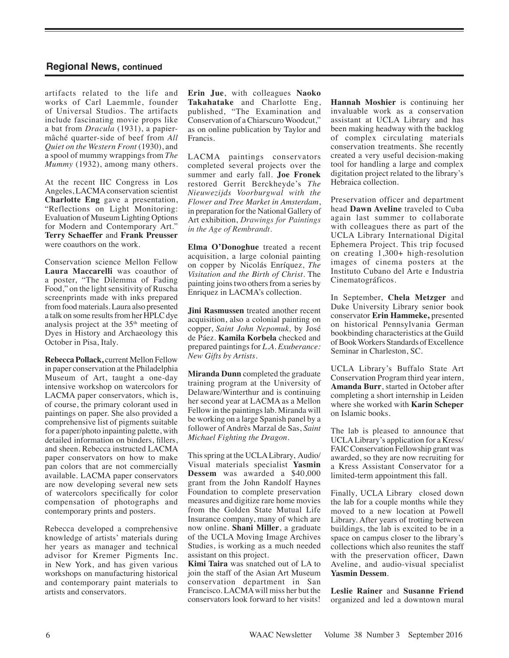artifacts related to the life and works of Carl Laemmle, founder of Universal Studios. The artifacts include fascinating movie props like a bat from *Dracula* (1931), a papiermâché quarter-side of beef from *All Quiet on the Western Front* (1930), and a spool of mummy wrappings from *The Mummy* (1932), among many others.

At the recent IIC Congress in Los Angeles, LACMA conservation scientist **Charlotte Eng** gave a presentation, "Reflections on Light Monitoring: Evaluation of Museum Lighting Options for Modern and Contemporary Art." **Terry Schaeffer** and **Frank Preusser** were coauthors on the work.

Conservation science Mellon Fellow **Laura Maccarelli** was coauthor of a poster, "The Dilemma of Fading Food," on the light sensitivity of Ruscha screenprints made with inks prepared from food materials. Laura also presented a talk on some results from her HPLC dye analysis project at the 35<sup>th</sup> meeting of Dyes in History and Archaeology this October in Pisa, Italy.

**Rebecca Pollack,** current Mellon Fellow in paper conservation at the Philadelphia Museum of Art, taught a one-day intensive workshop on watercolors for LACMA paper conservators, which is, of course, the primary colorant used in paintings on paper. She also provided a comprehensive list of pigments suitable for a paper/photo inpainting palette, with detailed information on binders, fillers, and sheen. Rebecca instructed LACMA paper conservators on how to make pan colors that are not commercially available. LACMA paper conservators are now developing several new sets of watercolors specifically for color compensation of photographs and contemporary prints and posters.

Rebecca developed a comprehensive knowledge of artists' materials during her years as manager and technical advisor for Kremer Pigments Inc. in New York, and has given various workshops on manufacturing historical and contemporary paint materials to artists and conservators.

**Erin Jue**, with colleagues **Naoko Takahatake** and Charlotte Eng, published, "The Examination and Conservation of a Chiarscuro Woodcut," as on online publication by Taylor and Francis.

LACMA paintings conservators completed several projects over the summer and early fall. **Joe Fronek** restored Gerrit Berckheyde's *The Nieuwezijds Voorburgwal with the Flower and Tree Market in Amsterdam*, in preparation for the National Gallery of Art exhibition, *Drawings for Paintings in the Age of Rembrandt*.

**Elma O'Donoghue** treated a recent acquisition, a large colonial painting on copper by Nicolás Enríquez, *The Visitation and the Birth of Christ*. The painting joins two others from a series by Enriquez in LACMA's collection.

**Jini Rasmussen** treated another recent acquisition, also a colonial painting on copper, *Saint John Nepomuk,* by José de Páez. **Kamila Korbela** checked and prepared paintings for *L.A. Exuberance: New Gifts by Artists*.

**Miranda Dunn** completed the graduate training program at the University of Delaware/Winterthur and is continuing her second year at LACMA as a Mellon Fellow in the paintings lab. Miranda will be working on a large Spanish panel by a follower of Andrès Marzal de Sas, *Saint Michael Fighting the Dragon*.

This spring at the UCLA Library, Audio/ Visual materials specialist **Yasmin Dessem** was awarded a \$40,000 grant from the John Randolf Haynes Foundation to complete preservation measures and digitize rare home movies from the Golden State Mutual Life Insurance company, many of which are now online. **Shani Miller**, a graduate of the UCLA Moving Image Archives Studies, is working as a much needed assistant on this project.

**Kimi Taira** was snatched out of LA to join the staff of the Asian Art Museum conservation department in San Francisco. LACMA will miss her but the conservators look forward to her visits! **Hannah Moshier** is continuing her invaluable work as a conservation assistant at UCLA Library and has been making headway with the backlog of complex circulating materials conservation treatments. She recently created a very useful decision-making tool for handling a large and complex digitation project related to the library's Hebraica collection.

Preservation officer and department head **Dawn Aveline** traveled to Cuba again last summer to collaborate with colleagues there as part of the UCLA Library International Digital Ephemera Project. This trip focused on creating 1,300+ high-resolution images of cinema posters at the Instituto Cubano del Arte e Industria Cinematográficos.

In September, **Chela Metzger** and Duke University Library senior book conservator **Erin Hammeke,** presented on historical Pennsylvania German bookbinding characteristics at the Guild of Book Workers Standards of Excellence Seminar in Charleston, SC.

UCLA Library's Buffalo State Art Conservation Program third year intern, **Amanda Burr**, started in October after completing a short internship in Leiden where she worked with **Karin Scheper** on Islamic books.

The lab is pleased to announce that UCLA Library's application for a Kress/ FAIC Conservation Fellowship grant was awarded, so they are now recruiting for a Kress Assistant Conservator for a limited-term appointment this fall.

Finally, UCLA Library closed down the lab for a couple months while they moved to a new location at Powell Library. After years of trotting between buildings, the lab is excited to be in a space on campus closer to the library's collections which also reunites the staff with the preservation officer, Dawn Aveline, and audio-visual specialist **Yasmin Dessem**.

**Leslie Rainer** and **Susanne Friend** organized and led a downtown mural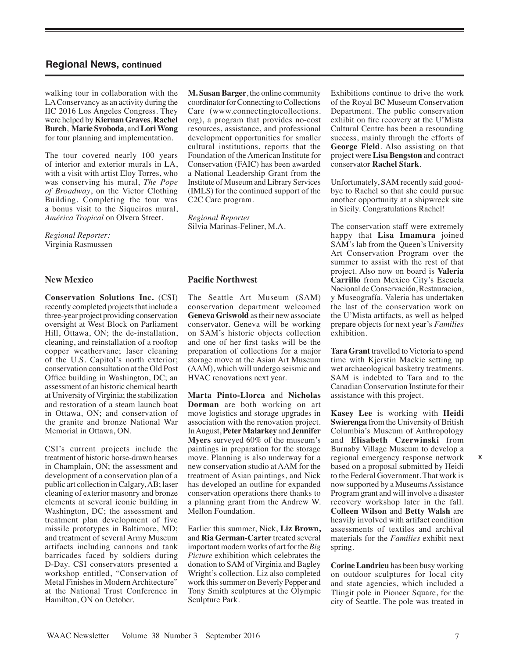walking tour in collaboration with the LA Conservancy as an activity during the IIC 2016 Los Angeles Congress. They were helped by **Kiernan Graves**, **Rachel Burch**, **Marie Svoboda**, and **Lori Wong** for tour planning and implementation.

The tour covered nearly 100 years of interior and exterior murals in LA, with a visit with artist Eloy Torres, who was conserving his mural, *The Pope of Broadway*, on the Victor Clothing Building. Completing the tour was a bonus visit to the Siqueiros mural, *América Tropical* on Olvera Street.

*Regional Reporter:* Virginia Rasmussen

#### **New Mexico**

**Conservation Solutions Inc.** (CSI) recently completed projects that include a three-year project providing conservation oversight at West Block on Parliament Hill, Ottawa, ON; the de-installation, cleaning, and reinstallation of a rooftop copper weathervane; laser cleaning of the U.S. Capitol's north exterior; conservation consultation at the Old Post Office building in Washington, DC; an assessment of an historic chemical hearth at University of Virginia; the stabilization and restoration of a steam launch boat in Ottawa, ON; and conservation of the granite and bronze National War Memorial in Ottawa, ON.

CSI's current projects include the treatment of historic horse-drawn hearses in Champlain, ON; the assessment and development of a conservation plan of a public art collection in Calgary, AB; laser cleaning of exterior masonry and bronze elements at several iconic building in Washington, DC; the assessment and treatment plan development of five missile prototypes in Baltimore, MD; and treatment of several Army Museum artifacts including cannons and tank barricades faced by soldiers during D-Day. CSI conservators presented a workshop entitled, "Conservation of Metal Finishes in Modern Architecture" at the National Trust Conference in Hamilton, ON on October.

**M. Susan Barger**, the online community coordinator for Connecting to Collections Care (www.connectingtocollections. org), a program that provides no-cost resources, assistance, and professional development opportunities for smaller cultural institutions, reports that the Foundation of the American Institute for Conservation (FAIC) has been awarded a National Leadership Grant from the Institute of Museum and Library Services (IMLS) for the continued support of the C2C Care program.

*Regional Reporter*  Silvia Marinas-Feliner, M.A.

#### **Pacific Northwest**

The Seattle Art Museum (SAM) conservation department welcomed **Geneva Griswold** as their new associate conservator. Geneva will be working on SAM's historic objects collection and one of her first tasks will be the preparation of collections for a major storage move at the Asian Art Museum (AAM), which will undergo seismic and HVAC renovations next year.

**Marta Pinto-Llorca** and **Nicholas Dorman** are both working on art move logistics and storage upgrades in association with the renovation project. In August, **Peter Malarkey** and **Jennifer Myers** surveyed 60% of the museum's paintings in preparation for the storage move. Planning is also underway for a new conservation studio at AAM for the treatment of Asian paintings, and Nick has developed an outline for expanded conservation operations there thanks to a planning grant from the Andrew W. Mellon Foundation.

Earlier this summer, Nick, **Liz Brown,** and **Ria German-Carter** treated several important modern works of art for the *Big Picture* exhibition which celebrates the donation to SAM of Virginia and Bagley Wright's collection. Liz also completed work this summer on Beverly Pepper and Tony Smith sculptures at the Olympic Sculpture Park.

Exhibitions continue to drive the work of the Royal BC Museum Conservation Department. The public conservation exhibit on fire recovery at the U'Mista Cultural Centre has been a resounding success, mainly through the efforts of **George Field**. Also assisting on that project were **Lisa Bengston** and contract conservator **Rachel Stark**.

Unfortunately, SAM recently said goodbye to Rachel so that she could pursue another opportunity at a shipwreck site in Sicily. Congratulations Rachel!

The conservation staff were extremely happy that **Lisa Imamura** joined SAM's lab from the Queen's University Art Conservation Program over the summer to assist with the rest of that project. Also now on board is **Valeria Carrillo** from Mexico City's Escuela Nacional de Conservación, Restauracion, y Museografía. Valeria has undertaken the last of the conservation work on the U'Mista artifacts, as well as helped prepare objects for next year's *Families*  exhibition.

**Tara Grant** travelled to Victoria to spend time with Kjerstin Mackie setting up wet archaeological basketry treatments. SAM is indebted to Tara and to the Canadian Conservation Institute for their assistance with this project.

**Kasey Lee** is working with **Heidi Swierenga** from the University of British Columbia's Museum of Anthropology and **Elisabeth Czerwinski** from Burnaby Village Museum to develop a regional emergency response network based on a proposal submitted by Heidi to the Federal Government. That work is now supported by a Museums Assistance Program grant and will involve a disaster recovery workshop later in the fall. **Colleen Wilson** and **Betty Walsh** are heavily involved with artifact condition assessments of textiles and archival materials for the *Families* exhibit next spring.

**Corine Landrieu** has been busy working on outdoor sculptures for local city and state agencies, which included a Tlingit pole in Pioneer Square, for the city of Seattle. The pole was treated in

x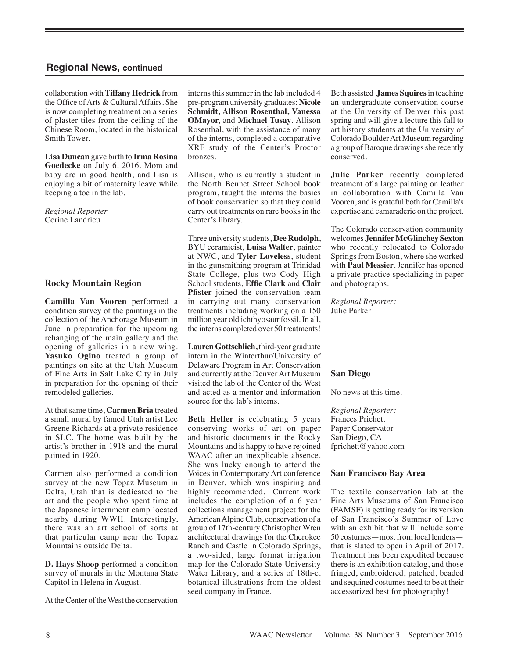collaboration with **Tiffany Hedrick** from the Office of Arts & Cultural Affairs. She is now completing treatment on a series of plaster tiles from the ceiling of the Chinese Room, located in the historical Smith Tower.

**Lisa Duncan** gave birth to **Irma Rosina Goedecke** on July 6, 2016. Mom and baby are in good health, and Lisa is enjoying a bit of maternity leave while keeping a toe in the lab.

*Regional Reporter* Corine Landrieu

### **Rocky Mountain Region**

**Camilla Van Vooren** performed a condition survey of the paintings in the collection of the Anchorage Museum in June in preparation for the upcoming rehanging of the main gallery and the opening of galleries in a new wing. **Yasuko Ogino** treated a group of paintings on site at the Utah Museum of Fine Arts in Salt Lake City in July in preparation for the opening of their remodeled galleries.

At that same time, **Carmen Bria** treated a small mural by famed Utah artist Lee Greene Richards at a private residence in SLC. The home was built by the artist's brother in 1918 and the mural painted in 1920.

Carmen also performed a condition survey at the new Topaz Museum in Delta, Utah that is dedicated to the art and the people who spent time at the Japanese internment camp located nearby during WWII. Interestingly, there was an art school of sorts at that particular camp near the Topaz Mountains outside Delta.

**D. Hays Shoop** performed a condition survey of murals in the Montana State Capitol in Helena in August.

At the Center of the West the conservation

interns this summer in the lab included 4 pre-program university graduates: **Nicole Schmidt, Allison Rosenthal, Vanessa OMayor,** and **Michael Tusay**. Allison Rosenthal, with the assistance of many of the interns, completed a comparative XRF study of the Center's Proctor bronzes.

Allison, who is currently a student in the North Bennet Street School book program, taught the interns the basics of book conservation so that they could carry out treatments on rare books in the Center's library.

Three university students, **Dee Rudolph**, BYU ceramicist, **Luisa Walter**, painter at NWC, and **Tyler Loveless**, student in the gunsmithing program at Trinidad State College, plus two Cody High School students, **Effie Clark** and **Clair Pfister** joined the conservation team in carrying out many conservation treatments including working on a 150 million year old ichthyosaur fossil. In all, the interns completed over 50 treatments!

**Lauren Gottschlich,** third-year graduate intern in the Winterthur/University of Delaware Program in Art Conservation and currently at the Denver Art Museum visited the lab of the Center of the West and acted as a mentor and information source for the lab's interns.

**Beth Heller** is celebrating 5 years conserving works of art on paper and historic documents in the Rocky Mountains and is happy to have rejoined WAAC after an inexplicable absence. She was lucky enough to attend the Voices in Contemporary Art conference in Denver, which was inspiring and highly recommended. Current work includes the completion of a 6 year collections management project for the American Alpine Club, conservation of a group of 17th-century Christopher Wren architectural drawings for the Cherokee Ranch and Castle in Colorado Springs, a two-sided, large format irrigation map for the Colorado State University Water Library, and a series of 18th-c. botanical illustrations from the oldest seed company in France.

Beth assisted **James Squires** in teaching an undergraduate conservation course at the University of Denver this past spring and will give a lecture this fall to art history students at the University of Colorado Boulder Art Museum regarding a group of Baroque drawings she recently conserved.

**Julie Parker** recently completed treatment of a large painting on leather in collaboration with Camilla Van Vooren, and is grateful both for Camilla's expertise and camaraderie on the project.

The Colorado conservation community welcomes **Jennifer McGlinchey Sexton** who recently relocated to Colorado Springs from Boston, where she worked with **Paul Messier**. Jennifer has opened a private practice specializing in paper and photographs.

*Regional Reporter:*  Julie Parker

#### **San Diego**

No news at this time.

*Regional Reporter:*  Frances Prichett Paper Conservator San Diego, CA fprichett@yahoo.com

#### **San Francisco Bay Area**

The textile conservation lab at the Fine Arts Museums of San Francisco (FAMSF) is getting ready for its version of San Francisco's Summer of Love with an exhibit that will include some 50 costumes—most from local lenders that is slated to open in April of 2017. Treatment has been expedited because there is an exhibition catalog, and those fringed, embroidered, patched, beaded and sequined costumes need to be at their accessorized best for photography!